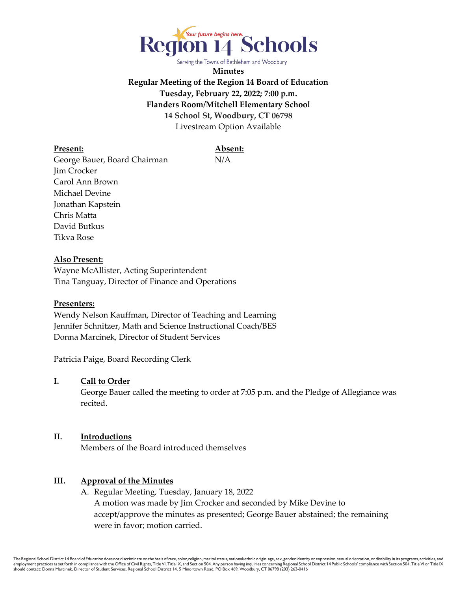

Serving the Towns of Bethlehem and Woodbury

**Minutes Regular Meeting of the Region 14 Board of Education Tuesday, February 22, 2022; 7:00 p.m. Flanders Room/Mitchell Elementary School 14 School St, Woodbury, CT 06798** Livestream Option Available

#### **Present: Absent:**

George Bauer, Board Chairman N/A Jim Crocker Carol Ann Brown Michael Devine Jonathan Kapstein Chris Matta David Butkus Tikva Rose

## **Also Present:**

Wayne McAllister, Acting Superintendent Tina Tanguay, Director of Finance and Operations

## **Presenters:**

Wendy Nelson Kauffman, Director of Teaching and Learning Jennifer Schnitzer, Math and Science Instructional Coach/BES Donna Marcinek, Director of Student Services

Patricia Paige, Board Recording Clerk

# **I. Call to Order**

George Bauer called the meeting to order at 7:05 p.m. and the Pledge of Allegiance was recited.

## **II. Introductions**

Members of the Board introduced themselves

## **III. Approval of the Minutes**

A. Regular Meeting, Tuesday, January 18, 2022 A motion was made by Jim Crocker and seconded by Mike Devine to accept/approve the minutes as presented; George Bauer abstained; the remaining were in favor; motion carried.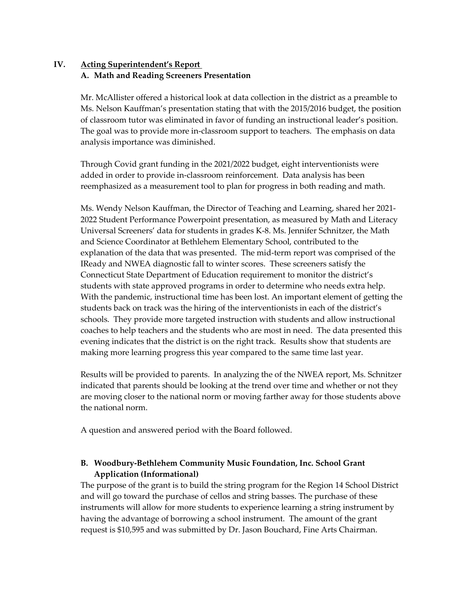# **IV. Acting Superintendent's Report A. Math and Reading Screeners Presentation**

 Mr. McAllister offered a historical look at data collection in the district as a preamble to Ms. Nelson Kauffman's presentation stating that with the 2015/2016 budget, the position of classroom tutor was eliminated in favor of funding an instructional leader's position. The goal was to provide more in-classroom support to teachers. The emphasis on data analysis importance was diminished.

Through Covid grant funding in the 2021/2022 budget, eight interventionists were added in order to provide in-classroom reinforcement. Data analysis has been reemphasized as a measurement tool to plan for progress in both reading and math.

Ms. Wendy Nelson Kauffman, the Director of Teaching and Learning, shared her 2021- 2022 Student Performance Powerpoint presentation, as measured by Math and Literacy Universal Screeners' data for students in grades K-8. Ms. Jennifer Schnitzer, the Math and Science Coordinator at Bethlehem Elementary School, contributed to the explanation of the data that was presented. The mid-term report was comprised of the IReady and NWEA diagnostic fall to winter scores. These screeners satisfy the Connecticut State Department of Education requirement to monitor the district's students with state approved programs in order to determine who needs extra help. With the pandemic, instructional time has been lost. An important element of getting the students back on track was the hiring of the interventionists in each of the district's schools. They provide more targeted instruction with students and allow instructional coaches to help teachers and the students who are most in need. The data presented this evening indicates that the district is on the right track. Results show that students are making more learning progress this year compared to the same time last year.

Results will be provided to parents. In analyzing the of the NWEA report, Ms. Schnitzer indicated that parents should be looking at the trend over time and whether or not they are moving closer to the national norm or moving farther away for those students above the national norm.

A question and answered period with the Board followed.

# **B. Woodbury-Bethlehem Community Music Foundation, Inc. School Grant Application (Informational)**

The purpose of the grant is to build the string program for the Region 14 School District and will go toward the purchase of cellos and string basses. The purchase of these instruments will allow for more students to experience learning a string instrument by having the advantage of borrowing a school instrument. The amount of the grant request is \$10,595 and was submitted by Dr. Jason Bouchard, Fine Arts Chairman.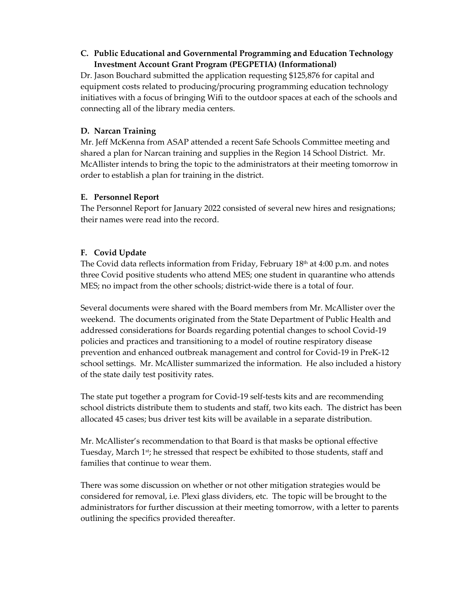# **C. Public Educational and Governmental Programming and Education Technology Investment Account Grant Program (PEGPETIA) (Informational)**

Dr. Jason Bouchard submitted the application requesting \$125,876 for capital and equipment costs related to producing/procuring programming education technology initiatives with a focus of bringing Wifi to the outdoor spaces at each of the schools and connecting all of the library media centers.

# **D. Narcan Training**

Mr. Jeff McKenna from ASAP attended a recent Safe Schools Committee meeting and shared a plan for Narcan training and supplies in the Region 14 School District. Mr. McAllister intends to bring the topic to the administrators at their meeting tomorrow in order to establish a plan for training in the district.

# **E. Personnel Report**

The Personnel Report for January 2022 consisted of several new hires and resignations; their names were read into the record.

# **F. Covid Update**

The Covid data reflects information from Friday, February  $18<sup>th</sup>$  at  $4:00$  p.m. and notes three Covid positive students who attend MES; one student in quarantine who attends MES; no impact from the other schools; district-wide there is a total of four.

Several documents were shared with the Board members from Mr. McAllister over the weekend. The documents originated from the State Department of Public Health and addressed considerations for Boards regarding potential changes to school Covid-19 policies and practices and transitioning to a model of routine respiratory disease prevention and enhanced outbreak management and control for Covid-19 in PreK-12 school settings. Mr. McAllister summarized the information. He also included a history of the state daily test positivity rates.

The state put together a program for Covid-19 self-tests kits and are recommending school districts distribute them to students and staff, two kits each. The district has been allocated 45 cases; bus driver test kits will be available in a separate distribution.

Mr. McAllister's recommendation to that Board is that masks be optional effective Tuesday, March 1<sup>st</sup>; he stressed that respect be exhibited to those students, staff and families that continue to wear them.

There was some discussion on whether or not other mitigation strategies would be considered for removal, i.e. Plexi glass dividers, etc. The topic will be brought to the administrators for further discussion at their meeting tomorrow, with a letter to parents outlining the specifics provided thereafter.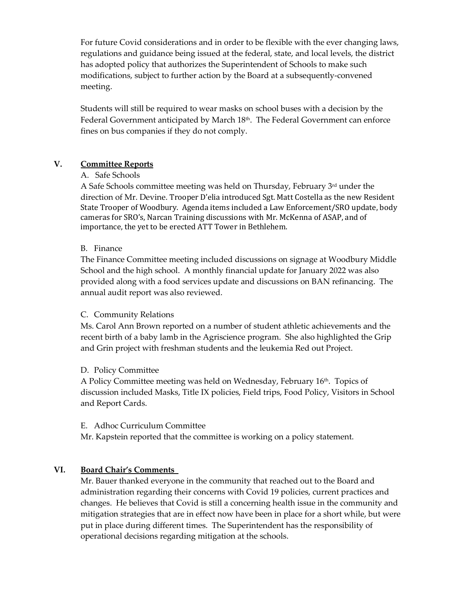For future Covid considerations and in order to be flexible with the ever changing laws, regulations and guidance being issued at the federal, state, and local levels, the district has adopted policy that authorizes the Superintendent of Schools to make such modifications, subject to further action by the Board at a subsequently-convened meeting.

Students will still be required to wear masks on school buses with a decision by the Federal Government anticipated by March 18<sup>th</sup>. The Federal Government can enforce fines on bus companies if they do not comply.

# **V. Committee Reports**

## A. Safe Schools

A Safe Schools committee meeting was held on Thursday, February  $3<sup>rd</sup>$  under the direction of Mr. Devine. Trooper D'elia introduced Sgt. Matt Costella as the new Resident State Trooper of Woodbury. Agenda items included a Law Enforcement/SRO update, body cameras for SRO's, Narcan Training discussions with Mr. McKenna of ASAP, and of importance, the yet to be erected ATT Tower in Bethlehem.

## B. Finance

The Finance Committee meeting included discussions on signage at Woodbury Middle School and the high school. A monthly financial update for January 2022 was also provided along with a food services update and discussions on BAN refinancing. The annual audit report was also reviewed.

#### C. Community Relations

Ms. Carol Ann Brown reported on a number of student athletic achievements and the recent birth of a baby lamb in the Agriscience program. She also highlighted the Grip and Grin project with freshman students and the leukemia Red out Project.

## D. Policy Committee

A Policy Committee meeting was held on Wednesday, February 16th. Topics of discussion included Masks, Title IX policies, Field trips, Food Policy, Visitors in School and Report Cards.

#### E. Adhoc Curriculum Committee

Mr. Kapstein reported that the committee is working on a policy statement.

## **VI. Board Chair's Comments**

Mr. Bauer thanked everyone in the community that reached out to the Board and administration regarding their concerns with Covid 19 policies, current practices and changes. He believes that Covid is still a concerning health issue in the community and mitigation strategies that are in effect now have been in place for a short while, but were put in place during different times. The Superintendent has the responsibility of operational decisions regarding mitigation at the schools.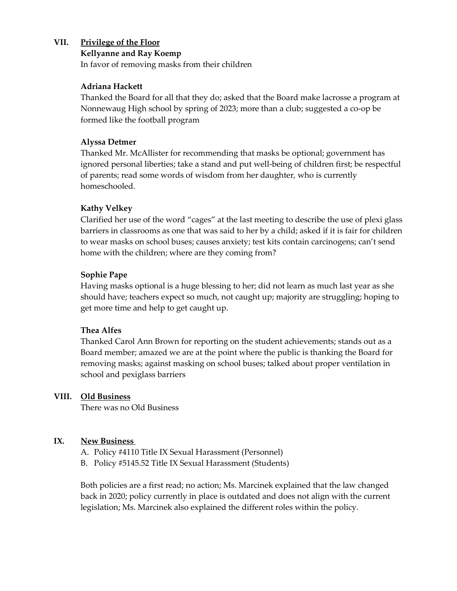# **VII. Privilege of the Floor**

### **Kellyanne and Ray Koemp**

In favor of removing masks from their children

## **Adriana Hackett**

Thanked the Board for all that they do; asked that the Board make lacrosse a program at Nonnewaug High school by spring of 2023; more than a club; suggested a co-op be formed like the football program

## **Alyssa Detmer**

Thanked Mr. McAllister for recommending that masks be optional; government has ignored personal liberties; take a stand and put well-being of children first; be respectful of parents; read some words of wisdom from her daughter, who is currently homeschooled.

# **Kathy Velkey**

Clarified her use of the word "cages" at the last meeting to describe the use of plexi glass barriers in classrooms as one that was said to her by a child; asked if it is fair for children to wear masks on school buses; causes anxiety; test kits contain carcinogens; can't send home with the children; where are they coming from?

# **Sophie Pape**

Having masks optional is a huge blessing to her; did not learn as much last year as she should have; teachers expect so much, not caught up; majority are struggling; hoping to get more time and help to get caught up.

## **Thea Alfes**

Thanked Carol Ann Brown for reporting on the student achievements; stands out as a Board member; amazed we are at the point where the public is thanking the Board for removing masks; against masking on school buses; talked about proper ventilation in school and pexiglass barriers

## **VIII. Old Business**

There was no Old Business

## **IX. New Business**

- A. Policy #4110 Title IX Sexual Harassment (Personnel)
- B. Policy #5145.52 Title IX Sexual Harassment (Students)

 Both policies are a first read; no action; Ms. Marcinek explained that the law changed back in 2020; policy currently in place is outdated and does not align with the current legislation; Ms. Marcinek also explained the different roles within the policy.